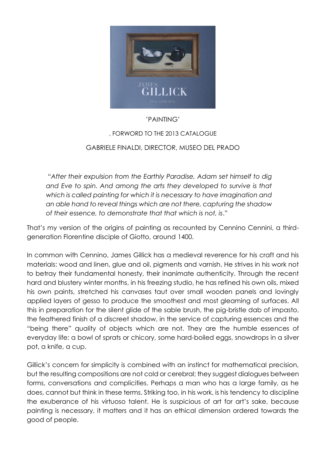

## 'PAINTING'

## , FORWORD TO THE 2013 CATALOGUE

## GABRIELE FINALDI, DIRECTOR, MUSEO DEL PRADO

"*After their expulsion from the Earthly Paradise, Adam set himself to dig and Eve to spin. And among the arts they developed to survive is that which is called painting for which it is necessary to have imagination and an able hand to reveal things which are not there, capturing the shadow of their essence, to demonstrate that that which is not, is*."

That's my version of the origins of painting as recounted by Cennino Cennini, a thirdgeneration Florentine disciple of Giotto, around 1400.

In common with Cennino, James Gillick has a medieval reverence for his craft and his materials: wood and linen, glue and oil, pigments and varnish. He strives in his work not to betray their fundamental honesty, their inanimate authenticity. Through the recent hard and blustery winter months, in his freezing studio, he has refined his own oils, mixed his own paints, stretched his canvases taut over small wooden panels and lovingly applied layers of gesso to produce the smoothest and most gleaming of surfaces. All this in preparation for the silent glide of the sable brush, the pig-bristle dab of impasto, the feathered finish of a discreet shadow, in the service of capturing essences and the "being there" quality of objects which are not. They are the humble essences of everyday life: a bowl of sprats or chicory, some hard-boiled eggs, snowdrops in a silver pot, a knife, a cup.

Gillick's concern for simplicity is combined with an instinct for mathematical precision, but the resulting compositions are not cold or cerebral; they suggest dialogues between forms, conversations and complicities. Perhaps a man who has a large family, as he does, cannot but think in these terms. Striking too, in his work, is his tendency to discipline the exuberance of his virtuoso talent. He is suspicious of art for art's sake, because painting is necessary, it matters and it has an ethical dimension ordered towards the good of people.